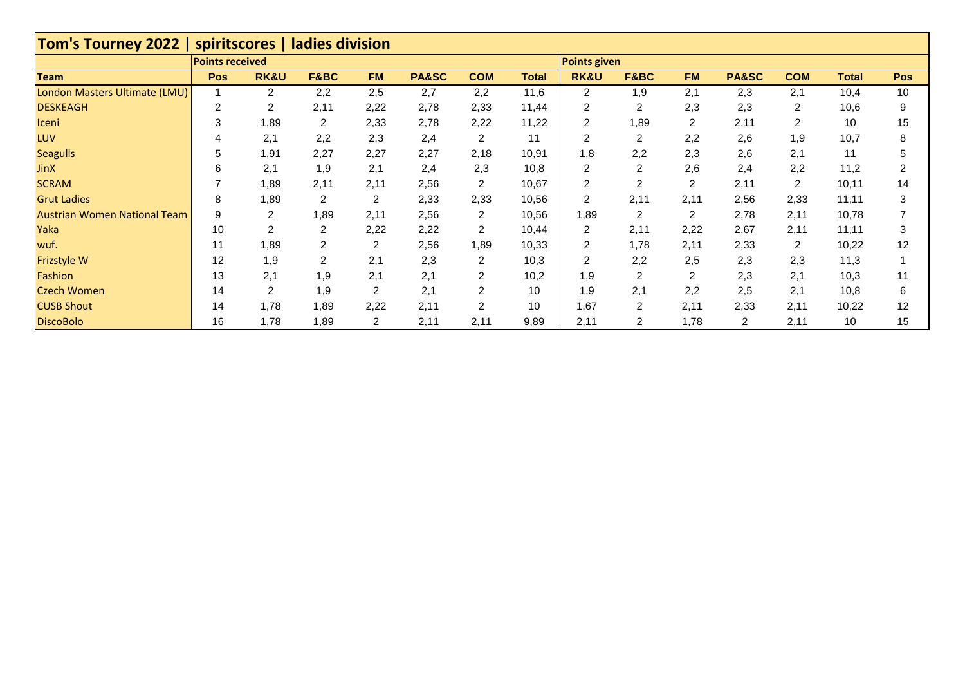| <b>Tom's Tourney 2022  </b>         |                        | spiritscores   ladies division |                |           |       |                |              |                     |                |                |                |                |              |            |
|-------------------------------------|------------------------|--------------------------------|----------------|-----------|-------|----------------|--------------|---------------------|----------------|----------------|----------------|----------------|--------------|------------|
|                                     | <b>Points received</b> |                                |                |           |       |                |              | <b>Points given</b> |                |                |                |                |              |            |
| <b>Team</b>                         | <b>Pos</b>             | <b>RK&amp;U</b>                | F&BC           | <b>FM</b> | PA&SC | <b>COM</b>     | <b>Total</b> | <b>RK&amp;U</b>     | F&BC           | <b>FM</b>      | PA&SC          | <b>COM</b>     | <b>Total</b> | <b>Pos</b> |
| London Masters Ultimate (LMU)       |                        | 2                              | 2,2            | 2,5       | 2,7   | 2,2            | 11,6         | 2                   | 1,9            | 2,1            | 2,3            | 2,1            | 10,4         | 10         |
| <b>DESKEAGH</b>                     | $\mathcal{P}$          | $\overline{2}$                 | 2,11           | 2,22      | 2,78  | 2,33           | 11,44        | 2                   | 2              | 2,3            | 2,3            | $\overline{2}$ | 10,6         | 9          |
| Iceni                               | 3                      | 1,89                           | $\overline{c}$ | 2,33      | 2,78  | 2,22           | 11,22        | $\overline{2}$      | 1,89           | 2              | 2,11           | $\overline{2}$ | 10           | 15         |
| <b>LUV</b>                          |                        | 2,1                            | 2,2            | 2,3       | 2,4   | 2              | 11           | 2                   | 2              | 2,2            | 2,6            | 1,9            | 10,7         |            |
| Seagulls                            | 5                      | 1,91                           | 2,27           | 2,27      | 2,27  | 2,18           | 10,91        | 1,8                 | 2,2            | 2,3            | 2,6            | 2,1            | 11           |            |
| <b>JinX</b>                         | հ                      | 2,1                            | 1,9            | 2,1       | 2,4   | 2,3            | 10,8         | 2                   | 2              | 2,6            | 2,4            | 2,2            | 11,2         |            |
| <b>SCRAM</b>                        |                        | 1,89                           | 2,11           | 2,11      | 2,56  | $\overline{2}$ | 10,67        | $\overline{c}$      | 2              | $\overline{2}$ | 2,11           | 2              | 10,11        | 14         |
| <b>Grut Ladies</b>                  | 8                      | 1,89                           | $\overline{c}$ | 2         | 2,33  | 2,33           | 10,56        | 2                   | 2,11           | 2,11           | 2,56           | 2,33           | 11,11        | 3          |
| <b>Austrian Women National Team</b> | 9                      | 2                              | 1,89           | 2,11      | 2,56  | 2              | 10,56        | 1,89                | 2              | 2              | 2,78           | 2,11           | 10,78        |            |
| Yaka                                | 10                     | $\overline{2}$                 | $\overline{c}$ | 2,22      | 2,22  | 2              | 10,44        | 2                   | 2,11           | 2,22           | 2,67           | 2,11           | 11,11        | 3          |
| wuf.                                | 11                     | 1,89                           | $\overline{2}$ | 2         | 2,56  | 1,89           | 10,33        | 2                   | 1,78           | 2,11           | 2,33           | $\overline{2}$ | 10,22        | 12         |
| <b>Frizstyle W</b>                  | 12                     | 1,9                            | 2              | 2,1       | 2,3   | 2              | 10,3         | $\overline{2}$      | 2,2            | 2,5            | 2,3            | 2,3            | 11,3         |            |
| Fashion                             | 13                     | 2,1                            | 1,9            | 2,1       | 2,1   | 2              | 10,2         | 1,9                 | 2              | 2              | 2,3            | 2,1            | 10,3         | 11         |
| <b>Czech Women</b>                  | 14                     | 2                              | 1,9            | 2         | 2,1   | 2              | 10           | 1,9                 | 2,1            | 2,2            | 2,5            | 2,1            | 10,8         | 6          |
| <b>CUSB Shout</b>                   | 14                     | 1,78                           | 1,89           | 2,22      | 2,11  | 2              | 10           | 1,67                | $\overline{2}$ | 2,11           | 2,33           | 2,11           | 10,22        | 12         |
| <b>DiscoBolo</b>                    | 16                     | 1,78                           | 1,89           | 2         | 2,11  | 2,11           | 9,89         | 2,11                | 2              | 1,78           | $\overline{2}$ | 2,11           | 10           | 15         |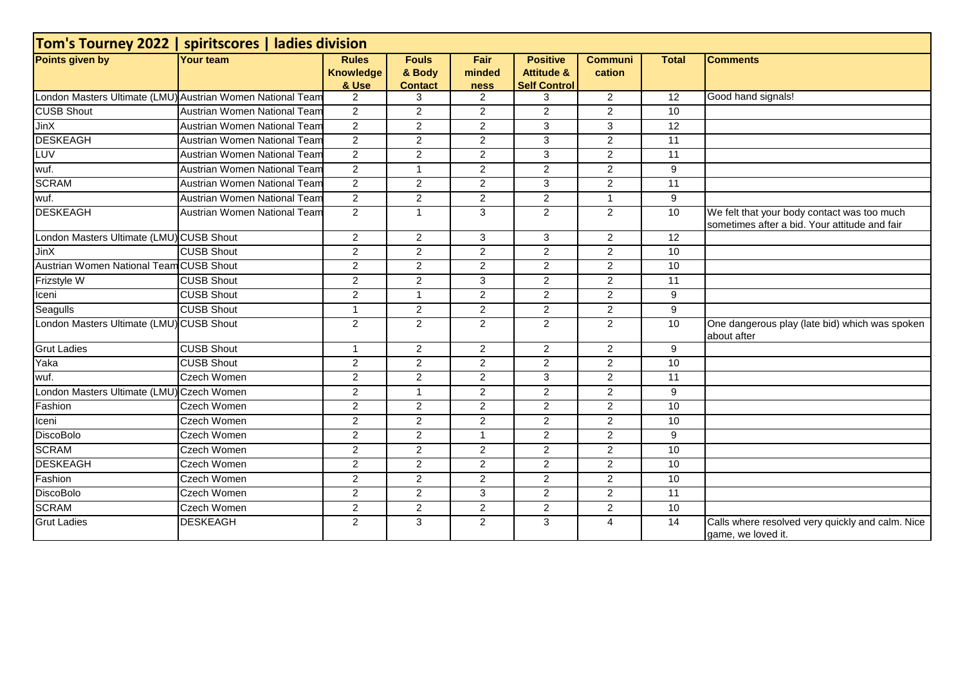| Tom's Tourney 2022   spiritscores   ladies division        |                              |                                           |                                          |                        |                                                                 |                          |                 |                                                                                              |  |  |
|------------------------------------------------------------|------------------------------|-------------------------------------------|------------------------------------------|------------------------|-----------------------------------------------------------------|--------------------------|-----------------|----------------------------------------------------------------------------------------------|--|--|
| Points given by                                            | <b>Your team</b>             | <b>Rules</b><br><b>Knowledge</b><br>& Use | <b>Fouls</b><br>& Body<br><b>Contact</b> | Fair<br>minded<br>ness | <b>Positive</b><br><b>Attitude &amp;</b><br><b>Self Control</b> | <b>Communi</b><br>cation | <b>Total</b>    | <b>Comments</b>                                                                              |  |  |
| London Masters Ultimate (LMU) Austrian Women National Team |                              | $\overline{2}$                            | 3                                        | $\overline{2}$         | 3                                                               | $\overline{2}$           | 12              | Good hand signals!                                                                           |  |  |
| <b>CUSB Shout</b>                                          | Austrian Women National Team | $\overline{2}$                            | 2                                        | 2                      | $\overline{2}$                                                  | $\overline{2}$           | 10              |                                                                                              |  |  |
| JinX                                                       | Austrian Women National Team | $\overline{2}$                            | $\overline{2}$                           | $\overline{2}$         | 3                                                               | 3                        | 12              |                                                                                              |  |  |
| <b>DESKEAGH</b>                                            | Austrian Women National Team | $\overline{2}$                            | $\overline{2}$                           | $\sqrt{2}$             | $\overline{3}$                                                  | $\overline{c}$           | 11              |                                                                                              |  |  |
| LUV                                                        | Austrian Women National Team | $\overline{2}$                            | $\overline{2}$                           | $\overline{2}$         | 3                                                               | $\overline{2}$           | 11              |                                                                                              |  |  |
| wuf.                                                       | Austrian Women National Team | $\overline{2}$                            | $\mathbf{1}$                             | $\overline{2}$         | 2                                                               | $\overline{2}$           | 9               |                                                                                              |  |  |
| <b>SCRAM</b>                                               | Austrian Women National Team | $\overline{2}$                            | $\overline{2}$                           | 2                      | 3                                                               | $\overline{2}$           | $\overline{11}$ |                                                                                              |  |  |
| wuf.                                                       | Austrian Women National Team | $\overline{2}$                            | $\overline{2}$                           | $\overline{2}$         | $\overline{2}$                                                  | $\mathbf{1}$             | 9               |                                                                                              |  |  |
| <b>DESKEAGH</b>                                            | Austrian Women National Team | $\overline{2}$                            | $\mathbf{1}$                             | $\overline{3}$         | $\overline{2}$                                                  | $\overline{2}$           | 10              | We felt that your body contact was too much<br>sometimes after a bid. Your attitude and fair |  |  |
| London Masters Ultimate (LMU) CUSB Shout                   |                              | $\overline{c}$                            | $\overline{2}$                           | 3                      | 3                                                               | $\overline{2}$           | 12              |                                                                                              |  |  |
| JinX                                                       | <b>CUSB Shout</b>            | $\overline{2}$                            | $\overline{2}$                           | $\overline{2}$         | 2                                                               | $\overline{2}$           | 10              |                                                                                              |  |  |
| Austrian Women National Team CUSB Shout                    |                              | $\overline{2}$                            | 2                                        | 2                      | 2                                                               | $\overline{2}$           | 10              |                                                                                              |  |  |
| Frizstyle W                                                | <b>CUSB Shout</b>            | $\overline{2}$                            | $\overline{2}$                           | $\overline{3}$         | $\overline{2}$                                                  | $\overline{2}$           | 11              |                                                                                              |  |  |
| Iceni                                                      | <b>CUSB Shout</b>            | $\overline{a}$                            | $\mathbf{1}$                             | $\overline{2}$         | $\overline{2}$                                                  | $\overline{2}$           | 9               |                                                                                              |  |  |
| Seagulls                                                   | <b>CUSB Shout</b>            | 1                                         | 2                                        | 2                      | 2                                                               | $\overline{2}$           | 9               |                                                                                              |  |  |
| London Masters Ultimate (LMU) CUSB Shout                   |                              | $\overline{2}$                            | $\overline{2}$                           | $\overline{2}$         | $\overline{2}$                                                  | $\overline{2}$           | 10              | One dangerous play (late bid) which was spoken<br>about after                                |  |  |
| <b>Grut Ladies</b>                                         | <b>CUSB Shout</b>            | 1                                         | 2                                        | 2                      | 2                                                               | $\overline{2}$           | 9               |                                                                                              |  |  |
| Yaka                                                       | <b>CUSB Shout</b>            | $\overline{a}$                            | $\overline{2}$                           | $\sqrt{2}$             | $\overline{2}$                                                  | $\overline{2}$           | 10              |                                                                                              |  |  |
| wuf.                                                       | Czech Women                  | $\overline{2}$                            | $\overline{2}$                           | $\overline{2}$         | 3                                                               | $\overline{2}$           | 11              |                                                                                              |  |  |
| London Masters Ultimate (LMU) Czech Women                  |                              | $\overline{2}$                            | $\mathbf{1}$                             | $\overline{2}$         | $\overline{2}$                                                  | $\overline{2}$           | 9               |                                                                                              |  |  |
| Fashion                                                    | <b>Czech Women</b>           | $\overline{2}$                            | $\overline{2}$                           | $\overline{2}$         | $\overline{2}$                                                  | $\overline{2}$           | 10              |                                                                                              |  |  |
| Iceni                                                      | Czech Women                  | $\overline{2}$                            | 2                                        | $\overline{2}$         | 2                                                               | $\overline{2}$           | 10              |                                                                                              |  |  |
| <b>DiscoBolo</b>                                           | Czech Women                  | $\overline{2}$                            | $\overline{2}$                           | $\overline{1}$         | $\overline{2}$                                                  | $\overline{2}$           | 9               |                                                                                              |  |  |
| <b>SCRAM</b>                                               | <b>Czech Women</b>           | $\overline{a}$                            | $\overline{2}$                           | 2                      | $\overline{2}$                                                  | $\mathbf{2}^{\prime}$    | 10              |                                                                                              |  |  |
| <b>DESKEAGH</b>                                            | Czech Women                  | $\overline{2}$                            | 2                                        | 2                      | 2                                                               | $\overline{2}$           | 10              |                                                                                              |  |  |
| Fashion                                                    | <b>Czech Women</b>           | $\overline{a}$                            | $\overline{2}$                           | $\overline{2}$         | $\overline{2}$                                                  | $\overline{2}$           | 10              |                                                                                              |  |  |
| <b>DiscoBolo</b>                                           | <b>Czech Women</b>           | $\overline{a}$                            | $\overline{2}$                           | 3                      | $\overline{2}$                                                  | $\overline{2}$           | 11              |                                                                                              |  |  |
| <b>SCRAM</b>                                               | <b>Czech Women</b>           | $\overline{2}$                            | $\overline{2}$                           | $\overline{2}$         | $\overline{2}$                                                  | $\overline{2}$           | 10              |                                                                                              |  |  |
| <b>Grut Ladies</b>                                         | <b>DESKEAGH</b>              | $\overline{2}$                            | 3                                        | $\overline{2}$         | 3                                                               | $\overline{4}$           | $\overline{14}$ | Calls where resolved very quickly and calm. Nice<br>game, we loved it.                       |  |  |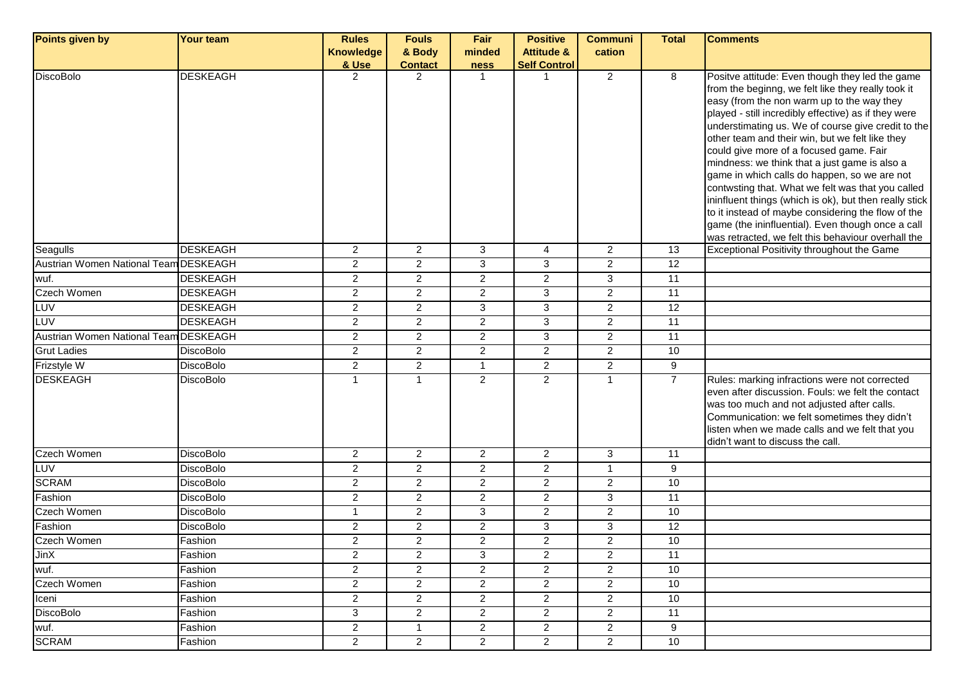| Points given by                       | <b>Your team</b> | <b>Rules</b>            | <b>Fouls</b>   | Fair           | <b>Positive</b>       | <b>Communi</b>          | <b>Total</b>    | <b>Comments</b>                                                                                                                                                                                                                                                                                                                                                                                                                                                                                                                                                                                                                                                                                                                                  |
|---------------------------------------|------------------|-------------------------|----------------|----------------|-----------------------|-------------------------|-----------------|--------------------------------------------------------------------------------------------------------------------------------------------------------------------------------------------------------------------------------------------------------------------------------------------------------------------------------------------------------------------------------------------------------------------------------------------------------------------------------------------------------------------------------------------------------------------------------------------------------------------------------------------------------------------------------------------------------------------------------------------------|
|                                       |                  | <b>Knowledge</b>        | & Body         | minded         | <b>Attitude &amp;</b> | cation                  |                 |                                                                                                                                                                                                                                                                                                                                                                                                                                                                                                                                                                                                                                                                                                                                                  |
|                                       |                  | & Use                   | <b>Contact</b> | <b>ness</b>    | <b>Self Control</b>   |                         |                 |                                                                                                                                                                                                                                                                                                                                                                                                                                                                                                                                                                                                                                                                                                                                                  |
| <b>DiscoBolo</b>                      | <b>DESKEAGH</b>  | 2                       | $\overline{2}$ | $\mathbf{1}$   | $\overline{1}$        | $\overline{2}$          | 8               | Positve attitude: Even though they led the game<br>from the beginng, we felt like they really took it<br>easy (from the non warm up to the way they<br>played - still incredibly effective) as if they were<br>understimating us. We of course give credit to the<br>other team and their win, but we felt like they<br>could give more of a focused game. Fair<br>mindness: we think that a just game is also a<br>game in which calls do happen, so we are not<br>contwsting that. What we felt was that you called<br>ininfluent things (which is ok), but then really stick<br>to it instead of maybe considering the flow of the<br>game (the ininfluential). Even though once a call<br>was retracted, we felt this behaviour overhall the |
| Seagulls                              | <b>DESKEAGH</b>  | $\overline{a}$          | $\overline{2}$ | 3              | $\overline{4}$        | $\overline{2}$          | 13              | <b>Exceptional Positivity throughout the Game</b>                                                                                                                                                                                                                                                                                                                                                                                                                                                                                                                                                                                                                                                                                                |
| Austrian Women National Team DESKEAGH |                  | $\overline{c}$          | $\overline{2}$ | $\mathbf{3}$   | 3                     | $\overline{a}$          | $\overline{12}$ |                                                                                                                                                                                                                                                                                                                                                                                                                                                                                                                                                                                                                                                                                                                                                  |
| wuf.                                  | <b>DESKEAGH</b>  | $\overline{2}$          | $\overline{2}$ | $\overline{2}$ | 2                     | 3                       | 11              |                                                                                                                                                                                                                                                                                                                                                                                                                                                                                                                                                                                                                                                                                                                                                  |
| Czech Women                           | <b>DESKEAGH</b>  | $\overline{2}$          | $\overline{2}$ | $\overline{2}$ | 3                     | $\overline{2}$          | $\overline{11}$ |                                                                                                                                                                                                                                                                                                                                                                                                                                                                                                                                                                                                                                                                                                                                                  |
| <b>LUV</b>                            | <b>DESKEAGH</b>  | $\overline{\mathbf{c}}$ | $\overline{2}$ | $\mathbf{3}$   | 3                     | $\overline{\mathbf{c}}$ | 12              |                                                                                                                                                                                                                                                                                                                                                                                                                                                                                                                                                                                                                                                                                                                                                  |
| <b>LUV</b>                            | <b>DESKEAGH</b>  | $\overline{\mathbf{c}}$ | 2              | $\mathbf{2}$   | 3                     | $\overline{\mathbf{c}}$ | 11              |                                                                                                                                                                                                                                                                                                                                                                                                                                                                                                                                                                                                                                                                                                                                                  |
| Austrian Women National Team DESKEAGH |                  | $\overline{a}$          | $\overline{c}$ | $\overline{2}$ | $\mathbf{3}$          | $\overline{c}$          | 11              |                                                                                                                                                                                                                                                                                                                                                                                                                                                                                                                                                                                                                                                                                                                                                  |
| <b>Grut Ladies</b>                    | <b>DiscoBolo</b> | $\mathbf{2}$            | $\overline{2}$ | $\mathbf{2}$   | $\overline{2}$        | $\overline{c}$          | 10              |                                                                                                                                                                                                                                                                                                                                                                                                                                                                                                                                                                                                                                                                                                                                                  |
| Frizstyle W                           | <b>DiscoBolo</b> | $\overline{2}$          | $\overline{2}$ | $\mathbf{1}$   | $\overline{2}$        | $\overline{2}$          | 9               |                                                                                                                                                                                                                                                                                                                                                                                                                                                                                                                                                                                                                                                                                                                                                  |
| <b>DESKEAGH</b>                       | <b>DiscoBolo</b> | $\mathbf{1}$            | $\mathbf{1}$   | 2              | $\overline{2}$        | $\mathbf{1}$            | $\overline{7}$  | Rules: marking infractions were not corrected<br>even after discussion. Fouls: we felt the contact<br>was too much and not adjusted after calls.<br>Communication: we felt sometimes they didn't<br>listen when we made calls and we felt that you<br>didn't want to discuss the call.                                                                                                                                                                                                                                                                                                                                                                                                                                                           |
| Czech Women                           | <b>DiscoBolo</b> | $\overline{2}$          | $\overline{2}$ | $\mathbf{2}$   | $\overline{2}$        | 3                       | 11              |                                                                                                                                                                                                                                                                                                                                                                                                                                                                                                                                                                                                                                                                                                                                                  |
| LUV                                   | <b>DiscoBolo</b> | $\overline{2}$          | $\overline{2}$ | $\overline{2}$ | 2                     | $\mathbf{1}$            | 9               |                                                                                                                                                                                                                                                                                                                                                                                                                                                                                                                                                                                                                                                                                                                                                  |
| <b>SCRAM</b>                          | <b>DiscoBolo</b> | $\overline{a}$          | $\overline{2}$ | $\overline{2}$ | $\overline{2}$        | $\overline{c}$          | 10              |                                                                                                                                                                                                                                                                                                                                                                                                                                                                                                                                                                                                                                                                                                                                                  |
| Fashion                               | <b>DiscoBolo</b> | $\overline{a}$          | $\overline{2}$ | $\mathbf{2}$   | $\overline{2}$        | 3                       | 11              |                                                                                                                                                                                                                                                                                                                                                                                                                                                                                                                                                                                                                                                                                                                                                  |
| Czech Women                           | <b>DiscoBolo</b> | $\mathbf{1}$            | $\overline{2}$ | 3              | $\overline{2}$        | $\overline{a}$          | 10              |                                                                                                                                                                                                                                                                                                                                                                                                                                                                                                                                                                                                                                                                                                                                                  |
| Fashion                               | <b>DiscoBolo</b> | $\overline{\mathbf{c}}$ | $\overline{2}$ | $\mathbf{2}$   | 3                     | 3                       | 12              |                                                                                                                                                                                                                                                                                                                                                                                                                                                                                                                                                                                                                                                                                                                                                  |
| <b>Czech Women</b>                    | Fashion          | $\overline{2}$          | $\overline{2}$ | $\overline{2}$ | 2                     | $\overline{2}$          | 10              |                                                                                                                                                                                                                                                                                                                                                                                                                                                                                                                                                                                                                                                                                                                                                  |
| <b>JinX</b>                           | Fashion          | 2                       | 2              | 3              | $\overline{2}$        | 2                       | 11              |                                                                                                                                                                                                                                                                                                                                                                                                                                                                                                                                                                                                                                                                                                                                                  |
| wuf.                                  | Fashion          | $\overline{2}$          | 2              | $\mathbf{2}$   | $\overline{2}$        | $\overline{\mathbf{c}}$ | 10              |                                                                                                                                                                                                                                                                                                                                                                                                                                                                                                                                                                                                                                                                                                                                                  |
| Czech Women                           | Fashion          | $\overline{a}$          | $\overline{2}$ | $\overline{c}$ | $\overline{2}$        | $\overline{c}$          | $10$            |                                                                                                                                                                                                                                                                                                                                                                                                                                                                                                                                                                                                                                                                                                                                                  |
| Iceni                                 | Fashion          | 2                       | $\overline{c}$ | $\mathbf{2}$   | $\overline{2}$        | $\overline{\mathbf{c}}$ | 10              |                                                                                                                                                                                                                                                                                                                                                                                                                                                                                                                                                                                                                                                                                                                                                  |
| <b>DiscoBolo</b>                      | Fashion          | 3                       | $\overline{c}$ | $\mathbf{2}$   | $\overline{2}$        | $\overline{2}$          | $\overline{11}$ |                                                                                                                                                                                                                                                                                                                                                                                                                                                                                                                                                                                                                                                                                                                                                  |
| wuf.                                  | Fashion          | $\overline{\mathbf{c}}$ | $\mathbf 1$    | $\mathbf{2}$   | $\overline{2}$        | $\overline{c}$          | 9               |                                                                                                                                                                                                                                                                                                                                                                                                                                                                                                                                                                                                                                                                                                                                                  |
| <b>SCRAM</b>                          | Fashion          | $\overline{2}$          | $\overline{2}$ | $\overline{2}$ | $\overline{2}$        | $\overline{2}$          | 10              |                                                                                                                                                                                                                                                                                                                                                                                                                                                                                                                                                                                                                                                                                                                                                  |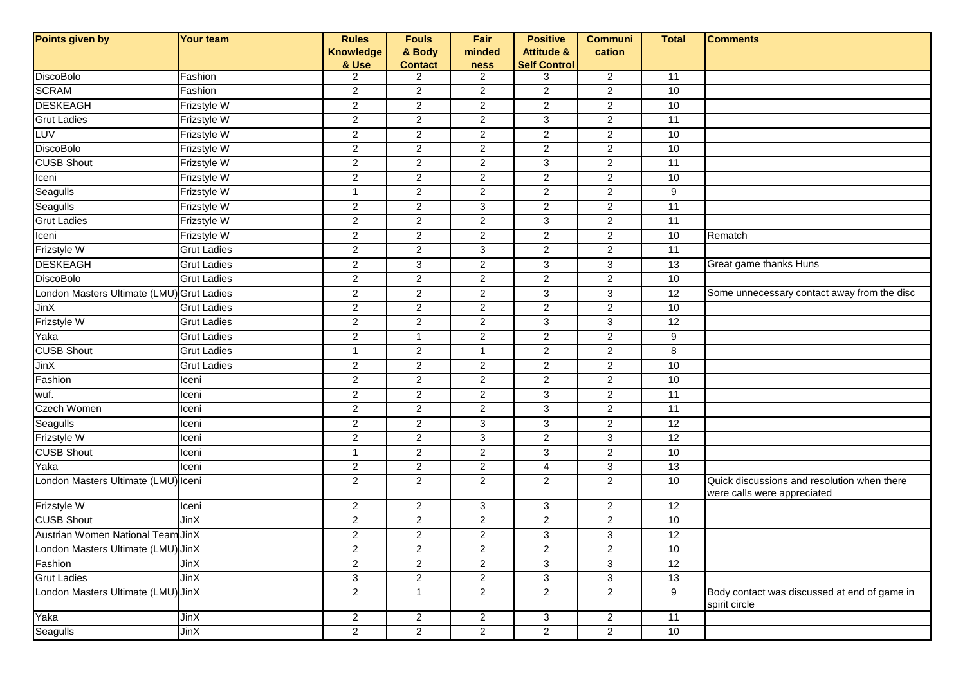| Points given by                           | Your team          | <b>Rules</b>            | <b>Fouls</b>   | Fair             | <b>Positive</b>       | <b>Communi</b> | <b>Total</b>    | <b>Comments</b>                                                            |
|-------------------------------------------|--------------------|-------------------------|----------------|------------------|-----------------------|----------------|-----------------|----------------------------------------------------------------------------|
|                                           |                    | <b>Knowledge</b>        | & Body         | minded           | <b>Attitude &amp;</b> | cation         |                 |                                                                            |
|                                           |                    | & Use                   | <b>Contact</b> | <b>ness</b>      | <b>Self Control</b>   |                |                 |                                                                            |
| <b>DiscoBolo</b>                          | Fashion            | $\overline{2}$          | $\overline{2}$ | 2                | 3                     | $\overline{2}$ | 11              |                                                                            |
| <b>SCRAM</b>                              | Fashion            | $\overline{a}$          | $\mathbf{2}$   | $\overline{c}$   | $\overline{2}$        | $\overline{c}$ | 10              |                                                                            |
| <b>DESKEAGH</b>                           | Frizstyle W        | $\overline{2}$          | $\overline{2}$ | $\overline{2}$   | $\overline{2}$        | $\overline{2}$ | 10              |                                                                            |
| <b>Grut Ladies</b>                        | Frizstyle W        | $\overline{2}$          | $\mathbf{2}$   | $\sqrt{2}$       | 3                     | $\overline{c}$ | 11              |                                                                            |
| LUV                                       | <b>Frizstyle W</b> | $\overline{2}$          | $\overline{2}$ | $\boldsymbol{2}$ | $\overline{2}$        | $\overline{a}$ | 10              |                                                                            |
| DiscoBolo                                 | Frizstyle W        | $\overline{2}$          | $\overline{2}$ | $\overline{c}$   | $\overline{2}$        | $\overline{a}$ | 10              |                                                                            |
| <b>CUSB Shout</b>                         | Frizstyle W        | $\overline{\mathbf{c}}$ | $\mathbf{2}$   | $\overline{c}$   | 3                     | $\overline{a}$ | 11              |                                                                            |
| Iceni                                     | Frizstyle W        | $\overline{2}$          | $\overline{2}$ | $\overline{2}$   | $\overline{2}$        | $\overline{2}$ | 10              |                                                                            |
| Seagulls                                  | <b>Frizstyle W</b> | $\mathbf{1}$            | $\overline{2}$ | $\overline{2}$   | $\overline{2}$        | $\overline{2}$ | 9               |                                                                            |
| Seagulls                                  | Frizstyle W        | $\overline{2}$          | $\overline{2}$ | 3                | $\overline{2}$        | $\overline{a}$ | 11              |                                                                            |
| <b>Grut Ladies</b>                        | Frizstyle W        | $\overline{a}$          | $\overline{2}$ | $\sqrt{2}$       | 3                     | $\overline{a}$ | 11              |                                                                            |
| Iceni                                     | Frizstyle W        | $\overline{c}$          | $\mathbf{2}$   | $\overline{c}$   | $\overline{2}$        | $\overline{c}$ | 10              | Rematch                                                                    |
| Frizstyle W                               | <b>Grut Ladies</b> | $\overline{2}$          | $\overline{2}$ | $\overline{3}$   | $\overline{2}$        | $\overline{2}$ | 11              |                                                                            |
| <b>DESKEAGH</b>                           | <b>Grut Ladies</b> | $\overline{2}$          | 3              | $\sqrt{2}$       | 3                     | 3              | 13              | Great game thanks Huns                                                     |
| <b>DiscoBolo</b>                          | <b>Grut Ladies</b> | $\overline{2}$          | $\overline{2}$ | $\overline{c}$   | $\overline{2}$        | $\overline{c}$ | 10              |                                                                            |
| London Masters Ultimate (LMU) Grut Ladies |                    | $\overline{2}$          | $\overline{2}$ | $\overline{c}$   | 3                     | 3              | $\overline{12}$ | Some unnecessary contact away from the disc                                |
| <b>JinX</b>                               | <b>Grut Ladies</b> | $\overline{a}$          | $\mathbf{2}$   | $\overline{c}$   | $\overline{c}$        | $\overline{c}$ | 10              |                                                                            |
| Frizstyle W                               | <b>Grut Ladies</b> | $\overline{2}$          | $\overline{2}$ | $\overline{2}$   | 3                     | $\overline{3}$ | $\overline{12}$ |                                                                            |
| Yaka                                      | <b>Grut Ladies</b> | $\overline{2}$          | $\mathbf{1}$   | $\overline{2}$   | $\overline{a}$        | $\overline{2}$ | 9               |                                                                            |
| <b>CUSB Shout</b>                         | <b>Grut Ladies</b> | $\mathbf{1}$            | $\overline{2}$ | $\mathbf{1}$     | $\overline{2}$        | $\overline{2}$ | 8               |                                                                            |
| JinX                                      | <b>Grut Ladies</b> | $\overline{a}$          | $\overline{2}$ | $\overline{c}$   | $\overline{2}$        | $\overline{a}$ | 10              |                                                                            |
| Fashion                                   | Iceni              | $\overline{a}$          | $\overline{2}$ | $\sqrt{2}$       | $\overline{2}$        | $\overline{a}$ | 10              |                                                                            |
| wuf.                                      | Iceni              | $\overline{a}$          | $\overline{2}$ | $\sqrt{2}$       | 3                     | $\overline{2}$ | 11              |                                                                            |
| <b>Czech Women</b>                        | lceni              | $\overline{2}$          | $\overline{2}$ | $\overline{c}$   | 3                     | $\overline{2}$ | 11              |                                                                            |
| Seagulls                                  | lceni              | $\overline{2}$          | $\overline{2}$ | 3                | 3                     | $\overline{a}$ | 12              |                                                                            |
| Frizstyle W                               | lceni              | $\overline{\mathbf{c}}$ | $\overline{2}$ | $\mathbf{3}$     | $\overline{c}$        | 3              | $\overline{12}$ |                                                                            |
| <b>CUSB Shout</b>                         | Iceni              | $\mathbf{1}$            | $\overline{2}$ | $\mathbf{2}$     | 3                     | $\overline{2}$ | 10              |                                                                            |
| Yaka                                      | lceni              | $\mathbf{2}$            | $\overline{a}$ | $\sqrt{2}$       | $\overline{4}$        | $\mathbf{3}$   | 13              |                                                                            |
| London Masters Ultimate (LMU) Iceni       |                    | $\overline{2}$          | $\overline{2}$ | $\overline{2}$   | $\overline{2}$        | $\overline{2}$ | 10              | Quick discussions and resolution when there<br>were calls were appreciated |
| Frizstyle W                               | Iceni              | $\overline{2}$          | $\overline{2}$ | 3                | 3                     | $\overline{c}$ | 12              |                                                                            |
| <b>CUSB Shout</b>                         | JinX               | $\overline{a}$          | $\overline{2}$ | $\boldsymbol{2}$ | $\overline{c}$        | $\overline{2}$ | 10              |                                                                            |
| Austrian Women National Team JinX         |                    | $\overline{2}$          | $\mathbf{2}$   | $\overline{2}$   | 3                     | 3              | 12              |                                                                            |
| London Masters Ultimate (LMU) JinX        |                    | $\overline{a}$          | $\overline{2}$ | $\mathbf{Z}$     | $\mathbf{z}$          | $\overline{a}$ | 10              |                                                                            |
| Fashion                                   | JinX               | $\overline{2}$          | $\overline{2}$ | $\overline{2}$   | 3                     | 3              | 12              |                                                                            |
| <b>Grut Ladies</b>                        | JinX               | 3                       | $\overline{2}$ | $\mathbf{2}$     | 3                     | 3              | 13              |                                                                            |
| London Masters Ultimate (LMU) JinX        |                    | $\overline{a}$          | $\mathbf{1}$   | $\overline{2}$   | $\overline{2}$        | $\overline{2}$ | 9               | Body contact was discussed at end of game in<br>spirit circle              |
| Yaka                                      | $J$ in $X$         | $\overline{a}$          | $\overline{a}$ | $\overline{2}$   | 3                     | $\overline{2}$ | 11              |                                                                            |
| Seagulls                                  | <b>JinX</b>        | $\overline{2}$          | $\overline{2}$ | $\overline{2}$   | $\overline{2}$        | $\overline{2}$ | 10              |                                                                            |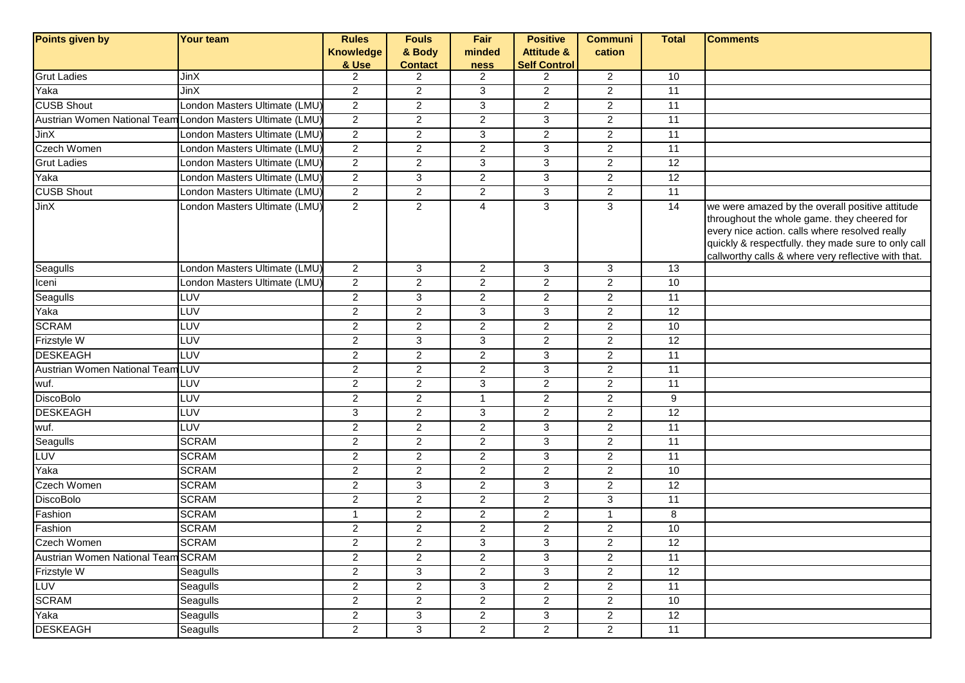| Points given by                    | <b>Your team</b>                                           | <b>Rules</b>     | <b>Fouls</b>   | Fair                      | <b>Positive</b>       | <b>Communi</b> | <b>Total</b>    | <b>Comments</b>                                                                                                                                                                                                                                                |
|------------------------------------|------------------------------------------------------------|------------------|----------------|---------------------------|-----------------------|----------------|-----------------|----------------------------------------------------------------------------------------------------------------------------------------------------------------------------------------------------------------------------------------------------------------|
|                                    |                                                            | <b>Knowledge</b> | & Body         | minded                    | <b>Attitude &amp;</b> | cation         |                 |                                                                                                                                                                                                                                                                |
|                                    |                                                            | & Use            | <b>Contact</b> | ness                      | <b>Self Control</b>   |                |                 |                                                                                                                                                                                                                                                                |
| <b>Grut Ladies</b>                 | JinX                                                       | 2                | $\overline{2}$ | $\overline{2}$            | $\overline{2}$        | $\overline{2}$ | 10              |                                                                                                                                                                                                                                                                |
| Yaka                               | <b>JinX</b>                                                | $\overline{2}$   | $\overline{2}$ | 3                         | $\overline{2}$        | $\overline{2}$ | 11              |                                                                                                                                                                                                                                                                |
| <b>CUSB Shout</b>                  | London Masters Ultimate (LMU)                              | $\overline{2}$   | $\overline{2}$ | 3                         | $\overline{2}$        | $\overline{2}$ | 11              |                                                                                                                                                                                                                                                                |
|                                    | Austrian Women National Team London Masters Ultimate (LMU) | $\overline{2}$   | $\overline{c}$ | $\overline{2}$            | 3                     | $\overline{c}$ | 11              |                                                                                                                                                                                                                                                                |
| JinX                               | London Masters Ultimate (LMU)                              | $\overline{2}$   | $\overline{2}$ | $\overline{3}$            | $\overline{2}$        | $\overline{2}$ | 11              |                                                                                                                                                                                                                                                                |
| Czech Women                        | London Masters Ultimate (LMU)                              | $\overline{c}$   | $\overline{2}$ | $\overline{2}$            | 3                     | $\overline{2}$ | 11              |                                                                                                                                                                                                                                                                |
| <b>Grut Ladies</b>                 | ondon Masters Ultimate (LMU)                               | $\overline{2}$   | $\overline{c}$ | $\mathbf{3}$              | 3                     | $\overline{c}$ | 12              |                                                                                                                                                                                                                                                                |
| Yaka                               | London Masters Ultimate (LMU)                              | $\overline{2}$   | $\mathbf{3}$   | 2                         | 3                     | $\overline{2}$ | $\overline{12}$ |                                                                                                                                                                                                                                                                |
| <b>CUSB Shout</b>                  | ondon Masters Ultimate (LMU)                               | $\overline{2}$   | $\overline{2}$ | $\boldsymbol{2}$          | 3                     | $\overline{2}$ | 11              |                                                                                                                                                                                                                                                                |
| <b>JinX</b>                        | London Masters Ultimate (LMU)                              | $\overline{2}$   | $\overline{2}$ | $\overline{4}$            | 3                     | $\overline{3}$ | $\overline{14}$ | we were amazed by the overall positive attitude<br>throughout the whole game. they cheered for<br>every nice action. calls where resolved really<br>quickly & respectfully. they made sure to only call<br>callworthy calls & where very reflective with that. |
| Seagulls                           | London Masters Ultimate (LMU)                              | $\overline{2}$   | 3              | $\overline{c}$            | 3                     | 3              | 13              |                                                                                                                                                                                                                                                                |
| Iceni                              | London Masters Ultimate (LMU)                              | $\overline{2}$   | $\overline{2}$ | 2                         | $\overline{2}$        | $\overline{2}$ | 10              |                                                                                                                                                                                                                                                                |
| Seagulls                           | LUV                                                        | $\overline{a}$   | $\mathbf{3}$   | $\boldsymbol{2}$          | $\overline{2}$        | $\overline{a}$ | 11              |                                                                                                                                                                                                                                                                |
| Yaka                               | LUV                                                        | $\overline{a}$   | $\overline{2}$ | 3                         | 3                     | $\overline{2}$ | $\overline{12}$ |                                                                                                                                                                                                                                                                |
| <b>SCRAM</b>                       | <b>TA</b>                                                  | $\overline{2}$   | $\overline{2}$ | $\overline{2}$            | $\overline{2}$        | $\overline{2}$ | 10              |                                                                                                                                                                                                                                                                |
| Frizstyle W                        | LUV                                                        | $\overline{2}$   | $\overline{3}$ | $\overline{3}$            | $\overline{2}$        | $\overline{2}$ | 12              |                                                                                                                                                                                                                                                                |
| <b>DESKEAGH</b>                    | <b>TA</b>                                                  | 2                | $\overline{2}$ | $\overline{2}$            | 3                     | $\overline{2}$ | 11              |                                                                                                                                                                                                                                                                |
| Austrian Women National Team LUV   |                                                            | $\overline{2}$   | $\overline{2}$ | 2                         | 3                     | $\overline{2}$ | 11              |                                                                                                                                                                                                                                                                |
| wuf.                               | LUV                                                        | $\overline{2}$   | $\overline{2}$ | 3                         | $\overline{2}$        | $\overline{2}$ | 11              |                                                                                                                                                                                                                                                                |
| <b>DiscoBolo</b>                   | LUV                                                        | $\overline{c}$   | $\overline{c}$ | $\mathbf{1}$              | $\overline{2}$        | $\overline{2}$ | 9               |                                                                                                                                                                                                                                                                |
| <b>DESKEAGH</b>                    | LUV                                                        | 3                | $\overline{2}$ | 3                         | $\overline{2}$        | $\overline{2}$ | 12              |                                                                                                                                                                                                                                                                |
| wuf.                               | <b>LUV</b>                                                 | $\overline{c}$   | $\overline{2}$ | 2                         | 3                     | $\overline{2}$ | 11              |                                                                                                                                                                                                                                                                |
| Seagulls                           | <b>SCRAM</b>                                               | $\overline{2}$   | $\overline{2}$ | 2                         | 3                     | $\overline{2}$ | 11              |                                                                                                                                                                                                                                                                |
| LUV                                | <b>SCRAM</b>                                               | $\overline{a}$   | $\overline{2}$ | 2                         | 3                     | $\overline{a}$ | 11              |                                                                                                                                                                                                                                                                |
| Yaka                               | <b>SCRAM</b>                                               | $\overline{2}$   | $\overline{2}$ | 2                         | $\overline{2}$        | $\overline{2}$ | 10              |                                                                                                                                                                                                                                                                |
| Czech Women                        | <b>SCRAM</b>                                               | $\overline{a}$   | $\mathbf{3}$   | $\overline{c}$            | 3                     | $\overline{c}$ | $\overline{12}$ |                                                                                                                                                                                                                                                                |
| <b>DiscoBolo</b>                   | <b>SCRAM</b>                                               | $\overline{c}$   | $\overline{2}$ | $\overline{2}$            | $\overline{c}$        | $\overline{3}$ | 11              |                                                                                                                                                                                                                                                                |
| Fashion                            | <b>SCRAM</b>                                               | $\mathbf{1}$     | $\overline{c}$ | $\overline{2}$            | $\overline{2}$        | $\mathbf{1}$   | 8               |                                                                                                                                                                                                                                                                |
| Fashion                            | <b>SCRAM</b>                                               | $\overline{c}$   | $\overline{c}$ | $\boldsymbol{2}$          | $\overline{a}$        | $\overline{2}$ | 10              |                                                                                                                                                                                                                                                                |
| <b>Czech Women</b>                 | <b>SCRAM</b>                                               | $\overline{a}$   | $\overline{c}$ | $\ensuremath{\mathsf{3}}$ | 3                     | $\overline{c}$ | $\overline{12}$ |                                                                                                                                                                                                                                                                |
| Austrian Women National Team SCRAM |                                                            | $\overline{c}$   | $\overline{c}$ | $\boldsymbol{2}$          | 3                     | $\overline{2}$ | 11              |                                                                                                                                                                                                                                                                |
| Frizstyle W                        | Seagulls                                                   | $\overline{a}$   | 3              | $\overline{2}$            | 3                     | $\overline{2}$ | 12              |                                                                                                                                                                                                                                                                |
| LUV                                | Seagulls                                                   | $\overline{2}$   | $\overline{2}$ | $\overline{3}$            | $\overline{2}$        | $\overline{2}$ | 11              |                                                                                                                                                                                                                                                                |
| <b>SCRAM</b>                       | Seagulls                                                   | $\overline{c}$   | $\overline{2}$ | $\overline{2}$            | $\overline{2}$        | $\overline{2}$ | 10              |                                                                                                                                                                                                                                                                |
| Yaka                               | Seagulls                                                   | $\overline{a}$   | $\mathbf{3}$   | $\boldsymbol{2}$          | 3                     | $\overline{c}$ | 12              |                                                                                                                                                                                                                                                                |
| <b>DESKEAGH</b>                    | Seagulls                                                   | $\overline{c}$   | $\mathbf{3}$   | $\overline{c}$            | $\overline{a}$        | $\overline{a}$ | $\overline{11}$ |                                                                                                                                                                                                                                                                |
|                                    |                                                            |                  |                |                           |                       |                |                 |                                                                                                                                                                                                                                                                |